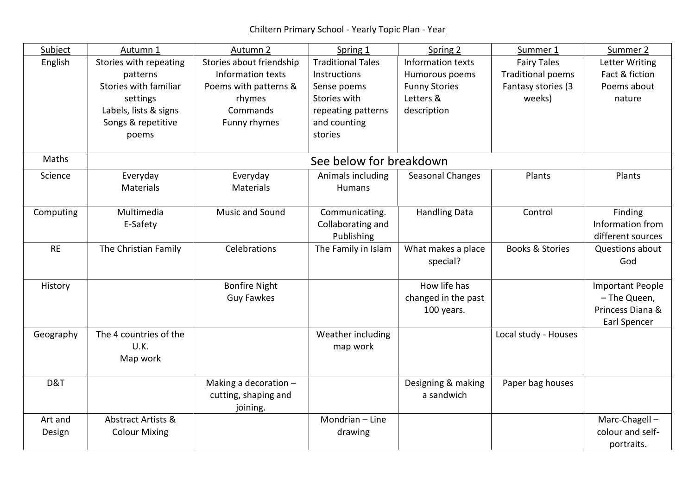Chiltern Primary School - Yearly Topic Plan - Year

| Subject   | Autumn 1                      | Autumn 2                 | Spring 1                 | Spring 2             | Summer 1                   | Summer 2                |  |  |  |
|-----------|-------------------------------|--------------------------|--------------------------|----------------------|----------------------------|-------------------------|--|--|--|
| English   | Stories with repeating        | Stories about friendship | <b>Traditional Tales</b> | Information texts    | <b>Fairy Tales</b>         | Letter Writing          |  |  |  |
|           | patterns                      | Information texts        | <b>Instructions</b>      | Humorous poems       | <b>Traditional poems</b>   | Fact & fiction          |  |  |  |
|           | <b>Stories with familiar</b>  | Poems with patterns &    | Sense poems              | <b>Funny Stories</b> | Fantasy stories (3         | Poems about             |  |  |  |
|           | settings                      | rhymes                   | Stories with             | Letters &            | weeks)                     | nature                  |  |  |  |
|           | Labels, lists & signs         | Commands                 | repeating patterns       | description          |                            |                         |  |  |  |
|           | Songs & repetitive            | Funny rhymes             | and counting             |                      |                            |                         |  |  |  |
|           | poems                         |                          | stories                  |                      |                            |                         |  |  |  |
| Maths     | See below for breakdown       |                          |                          |                      |                            |                         |  |  |  |
| Science   | Everyday                      | Everyday                 | Animals including        | Seasonal Changes     | Plants                     | Plants                  |  |  |  |
|           | <b>Materials</b>              | <b>Materials</b>         | Humans                   |                      |                            |                         |  |  |  |
|           |                               |                          |                          |                      |                            |                         |  |  |  |
| Computing | Multimedia                    | Music and Sound          | Communicating.           | <b>Handling Data</b> | Control                    | Finding                 |  |  |  |
|           | E-Safety                      |                          | Collaborating and        |                      |                            | Information from        |  |  |  |
|           |                               |                          | Publishing               |                      |                            | different sources       |  |  |  |
| <b>RE</b> | The Christian Family          | Celebrations             | The Family in Islam      | What makes a place   | <b>Books &amp; Stories</b> | Questions about         |  |  |  |
|           |                               |                          |                          | special?             |                            | God                     |  |  |  |
|           |                               |                          |                          |                      |                            |                         |  |  |  |
| History   |                               | <b>Bonfire Night</b>     |                          | How life has         |                            | <b>Important People</b> |  |  |  |
|           |                               | <b>Guy Fawkes</b>        |                          | changed in the past  |                            | - The Queen,            |  |  |  |
|           |                               |                          |                          | 100 years.           |                            | Princess Diana &        |  |  |  |
|           | The 4 countries of the        |                          | Weather including        |                      | Local study - Houses       | <b>Earl Spencer</b>     |  |  |  |
| Geography | U.K.                          |                          | map work                 |                      |                            |                         |  |  |  |
|           | Map work                      |                          |                          |                      |                            |                         |  |  |  |
|           |                               |                          |                          |                      |                            |                         |  |  |  |
| D&T       |                               | Making a decoration $-$  |                          | Designing & making   | Paper bag houses           |                         |  |  |  |
|           |                               | cutting, shaping and     |                          | a sandwich           |                            |                         |  |  |  |
|           |                               | joining.                 |                          |                      |                            |                         |  |  |  |
| Art and   | <b>Abstract Artists &amp;</b> |                          | Mondrian - Line          |                      |                            | Marc-Chagell-           |  |  |  |
| Design    | <b>Colour Mixing</b>          |                          | drawing                  |                      |                            | colour and self-        |  |  |  |
|           |                               |                          |                          |                      |                            | portraits.              |  |  |  |